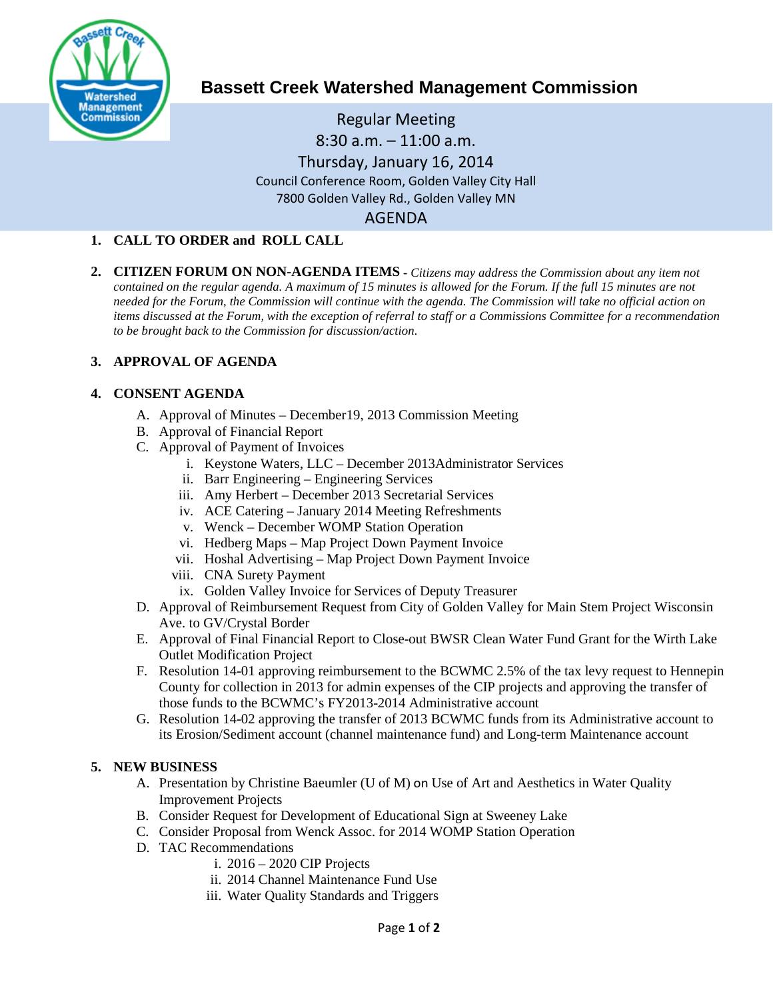

# **Bassett Creek Watershed Management Commission**

## Regular Meeting 8:30 a.m. – 11:00 a.m. Thursday, January 16, 2014 Council Conference Room, Golden Valley City Hall 7800 Golden Valley Rd., Golden Valley MN AGENDA

#### **1. CALL TO ORDER and ROLL CALL**

**2. CITIZEN FORUM ON NON-AGENDA ITEMS -** *Citizens may address the Commission about any item not contained on the regular agenda. A maximum of 15 minutes is allowed for the Forum. If the full 15 minutes are not needed for the Forum, the Commission will continue with the agenda. The Commission will take no official action on items discussed at the Forum, with the exception of referral to staff or a Commissions Committee for a recommendation to be brought back to the Commission for discussion/action.*

#### **3. APPROVAL OF AGENDA**

#### **4. CONSENT AGENDA**

- A. Approval of Minutes December19, 2013 Commission Meeting
- B. Approval of Financial Report
- C. Approval of Payment of Invoices
	- i. Keystone Waters, LLC December 2013Administrator Services
	- ii. Barr Engineering Engineering Services
	- iii. Amy Herbert December 2013 Secretarial Services
	- iv. ACE Catering January 2014 Meeting Refreshments
	- v. Wenck December WOMP Station Operation
	- vi. Hedberg Maps Map Project Down Payment Invoice
	- vii. Hoshal Advertising Map Project Down Payment Invoice
	- viii. CNA Surety Payment
	- ix. Golden Valley Invoice for Services of Deputy Treasurer
- D. Approval of Reimbursement Request from City of Golden Valley for Main Stem Project Wisconsin Ave. to GV/Crystal Border
- E. Approval of Final Financial Report to Close-out BWSR Clean Water Fund Grant for the Wirth Lake Outlet Modification Project
- F. Resolution 14-01 approving reimbursement to the BCWMC 2.5% of the tax levy request to Hennepin County for collection in 2013 for admin expenses of the CIP projects and approving the transfer of those funds to the BCWMC's FY2013-2014 Administrative account
- G. Resolution 14-02 approving the transfer of 2013 BCWMC funds from its Administrative account to its Erosion/Sediment account (channel maintenance fund) and Long-term Maintenance account

#### **5. NEW BUSINESS**

- A. Presentation by Christine Baeumler (U of M) on Use of Art and Aesthetics in Water Quality Improvement Projects
- B. Consider Request for Development of Educational Sign at Sweeney Lake
- C. Consider Proposal from Wenck Assoc. for 2014 WOMP Station Operation
- D. TAC Recommendations
	- i. 2016 2020 CIP Projects
	- ii. 2014 Channel Maintenance Fund Use
	- iii. Water Quality Standards and Triggers